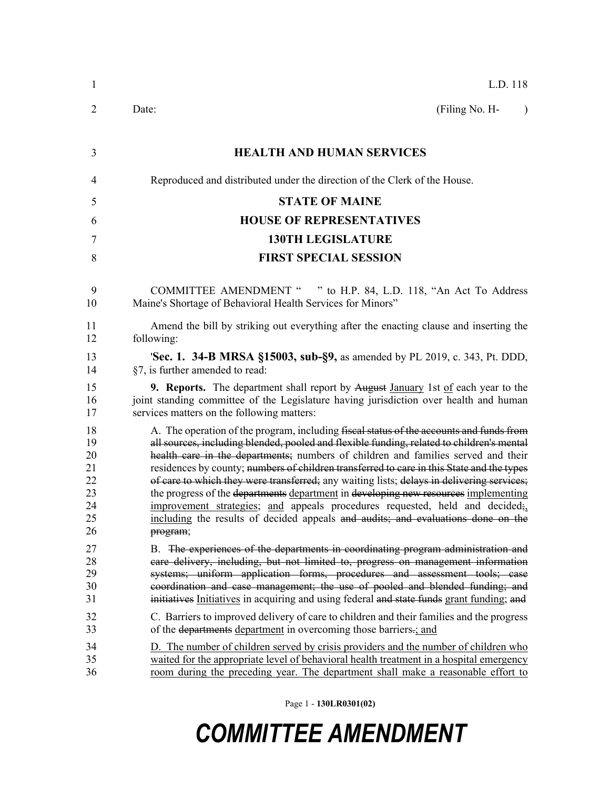| $\mathbf{1}$                                       | L.D. 118                                                                                                                                                                                                                                                                                                                                                                                                                                                                                                                                                                                                                                                                                                                                  |
|----------------------------------------------------|-------------------------------------------------------------------------------------------------------------------------------------------------------------------------------------------------------------------------------------------------------------------------------------------------------------------------------------------------------------------------------------------------------------------------------------------------------------------------------------------------------------------------------------------------------------------------------------------------------------------------------------------------------------------------------------------------------------------------------------------|
| 2                                                  | (Filing No. H-<br>Date:<br>$\lambda$                                                                                                                                                                                                                                                                                                                                                                                                                                                                                                                                                                                                                                                                                                      |
| 3                                                  | <b>HEALTH AND HUMAN SERVICES</b>                                                                                                                                                                                                                                                                                                                                                                                                                                                                                                                                                                                                                                                                                                          |
| 4                                                  | Reproduced and distributed under the direction of the Clerk of the House.                                                                                                                                                                                                                                                                                                                                                                                                                                                                                                                                                                                                                                                                 |
| 5                                                  | <b>STATE OF MAINE</b>                                                                                                                                                                                                                                                                                                                                                                                                                                                                                                                                                                                                                                                                                                                     |
| 6                                                  | <b>HOUSE OF REPRESENTATIVES</b>                                                                                                                                                                                                                                                                                                                                                                                                                                                                                                                                                                                                                                                                                                           |
| 7                                                  | <b>130TH LEGISLATURE</b>                                                                                                                                                                                                                                                                                                                                                                                                                                                                                                                                                                                                                                                                                                                  |
| 8                                                  | <b>FIRST SPECIAL SESSION</b>                                                                                                                                                                                                                                                                                                                                                                                                                                                                                                                                                                                                                                                                                                              |
|                                                    |                                                                                                                                                                                                                                                                                                                                                                                                                                                                                                                                                                                                                                                                                                                                           |
| 9<br>10                                            | <b>COMMITTEE AMENDMENT "</b><br>" to H.P. 84, L.D. 118, "An Act To Address"<br>Maine's Shortage of Behavioral Health Services for Minors"                                                                                                                                                                                                                                                                                                                                                                                                                                                                                                                                                                                                 |
| 11<br>12                                           | Amend the bill by striking out everything after the enacting clause and inserting the<br>following:                                                                                                                                                                                                                                                                                                                                                                                                                                                                                                                                                                                                                                       |
| 13<br>14                                           | <b>Sec. 1. 34-B MRSA §15003, sub-§9, as amended by PL 2019, c. 343, Pt. DDD,</b><br>§7, is further amended to read:                                                                                                                                                                                                                                                                                                                                                                                                                                                                                                                                                                                                                       |
| 15<br>16<br>17                                     | <b>9. Reports.</b> The department shall report by August January 1st of each year to the<br>joint standing committee of the Legislature having jurisdiction over health and human<br>services matters on the following matters:                                                                                                                                                                                                                                                                                                                                                                                                                                                                                                           |
| 18<br>19<br>20<br>21<br>22<br>23<br>24<br>25<br>26 | A. The operation of the program, including fiseal status of the accounts and funds from<br>all sources, including blended, pooled and flexible funding, related to children's mental<br>health care in the departments; numbers of children and families served and their<br>residences by county; numbers of children transferred to care in this State and the types<br>of care to which they were transferred; any waiting lists; delays in delivering services;<br>the progress of the departments department in developing new resources implementing<br>improvement strategies; and appeals procedures requested, held and decided;<br>including the results of decided appeals and audits; and evaluations done on the<br>program; |
| 27<br>28<br>29<br>30<br>31                         | B. The experiences of the departments in coordinating program administration and<br>care delivery, including, but not limited to, progress on management information<br>systems; uniform application forms, procedures and assessment tools; case<br>coordination and case management; the use of pooled and blended funding; and<br>initiatives Initiatives in acquiring and using federal and state funds grant funding; and                                                                                                                                                                                                                                                                                                            |
| 32<br>33                                           | C. Barriers to improved delivery of care to children and their families and the progress<br>of the departments department in overcoming those barriers-; and                                                                                                                                                                                                                                                                                                                                                                                                                                                                                                                                                                              |
| 34<br>35<br>36                                     | D. The number of children served by crisis providers and the number of children who<br>waited for the appropriate level of behavioral health treatment in a hospital emergency<br>room during the preceding year. The department shall make a reasonable effort to                                                                                                                                                                                                                                                                                                                                                                                                                                                                        |

Page 1 - **130LR0301(02)**

## *COMMITTEE AMENDMENT*